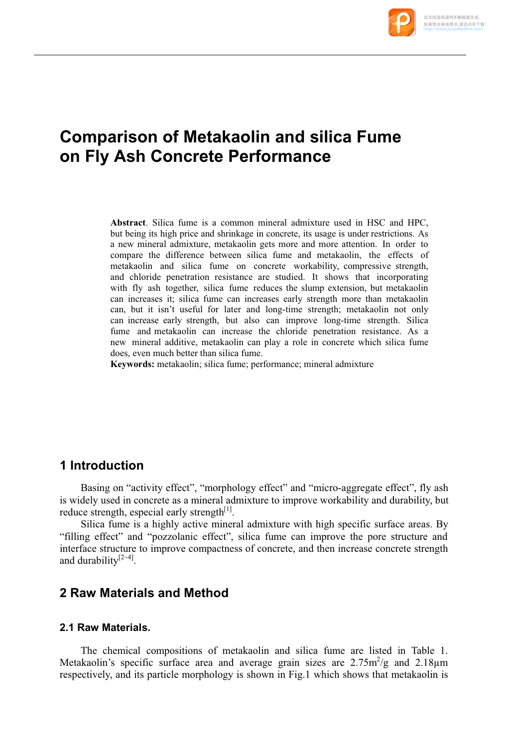

# **Comparison of Metakaolin and silica Fume on Fly Ash Concrete Performance**

**Abstract**. Silica fume is a common mineral admixture used in HSC and HPC, but being its high price and shrinkage in concrete, its usage is under restrictions. As a new mineral admixture, metakaolin gets more and more attention. In order to compare the difference between silica fume and metakaolin, the effects of metakaolin and silica fume on concrete workability, compressive strength, and chloride penetration resistance are studied. It shows that incorporating with fly ash together, silica fume reduces the slump extension, but metakaolin can increases it; silica fume can increases early strength more than metakaolin can, but it isn't useful for later and long-time strength; metakaolin not only can increase early strength, but also can improve long-time strength. Silica fume and metakaolin can increase the chloride penetration resistance. As a new mineral additive, metakaolin can play a role in concrete which silica fume does, even much better than silica fume.

**Keywords:** metakaolin; silica fume; performance; mineral admixture

## **1 Introduction**

Basing on "activity effect", "morphology effect" and "micro-aggregate effect", fly ash is widely used in concrete as a mineral admixture to improve workability and durability, but reduce strength, especial early strength $[1]$ .

Silica fume is a highly active mineral admixture with high specific surface areas. By "filling effect" and "pozzolanic effect", silica fume can improve the pore structure and interface structure to improve compactness of concrete, and then increase concrete strength and durability $[2-4]$ .

## **2 Raw Materials and Method**

#### **2.1 Raw Materials.**

The chemical compositions of metakaolin and silica fume are listed in Table 1. Metakaolin's specific surface area and average grain sizes are  $2.75 \text{m}^2/\text{g}$  and  $2.18 \mu \text{m}$ respectively, and its particle morphology is shown in Fig.1 which shows that metakaolin is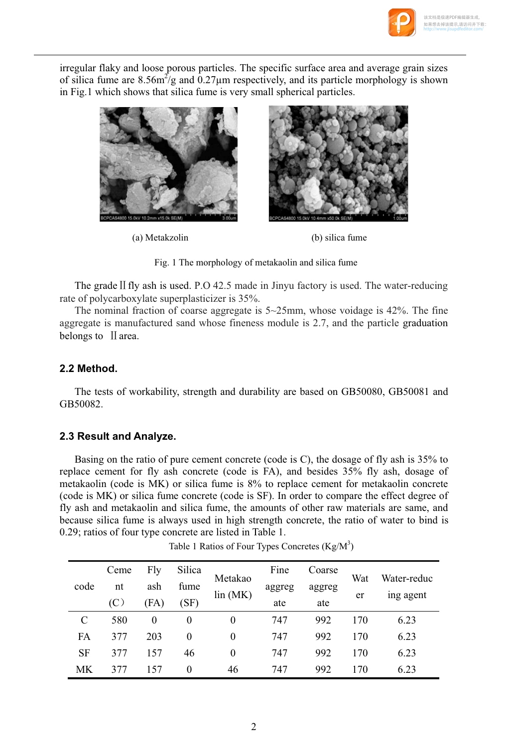

irregular flaky and loose porous particles. The specific surface area and average grain sizes of silica fume are 8.56 $m^2/g$  and 0.27 $\mu$ m respectively, and its particle morphology is shown in Fig.1 which shows that silica fume is very small spherical particles.



(a) Metakzolin (b) silica fume



The grade  $II$  fly ash is used. P.O 42.5 made in Jinyu factory is used. The water-reducing rate of polycarboxylate superplasticizer is 35%.

The nominal fraction of coarse aggregate is  $5\neg 25$ mm, whose voidage is  $42\%$ . The fine aggregate is manufactured sand whose fineness module is 2.7, and the particle graduation belongs to II area.

#### **2.2 Method.**

The tests of workability, strength and durability are based on GB50080, GB50081 and GB50082.

#### **2.3 Result and Analyze.**

Basing on the ratio of pure cement concrete (code is C), the dosage of fly ash is 35% to replace cement for fly ash concrete (code is FA), and besides 35% fly ash, dosage of metakaolin (code is MK) or silica fume is 8% to replace cement for metakaolin concrete (code is MK) or silica fume concrete (code is SF). In order to compare the effect degree of fly ash and metakaolin and silica fume, the amounts of other raw materials are same, and because silica fume is always used in high strength concrete, the ratio of water to bind is 0.29; ratios of four type concrete are listed in Table 1.

| code      | Ceme | Fly      | Silica   | Metakao<br>lin(MK) | Fine   | Coarse | Wat<br>er | Water-reduc<br>ing agent |
|-----------|------|----------|----------|--------------------|--------|--------|-----------|--------------------------|
|           | nt   | ash      | fume     |                    | aggreg | aggreg |           |                          |
|           | (C)  | (FA)     | (SF)     |                    | ate    | ate    |           |                          |
| C         | 580  | $\theta$ | 0        | 0                  | 747    | 992    | 170       | 6.23                     |
| FA        | 377  | 203      | $\theta$ | 0                  | 747    | 992    | 170       | 6.23                     |
| <b>SF</b> | 377  | 157      | 46       | 0                  | 747    | 992    | 170       | 6.23                     |
| МK        | 377  | 157      | $\theta$ | 46                 | 747    | 992    | 170       | 6.23                     |

Table 1 Ratios of Four Types Concretes  $(Kg/M^3)$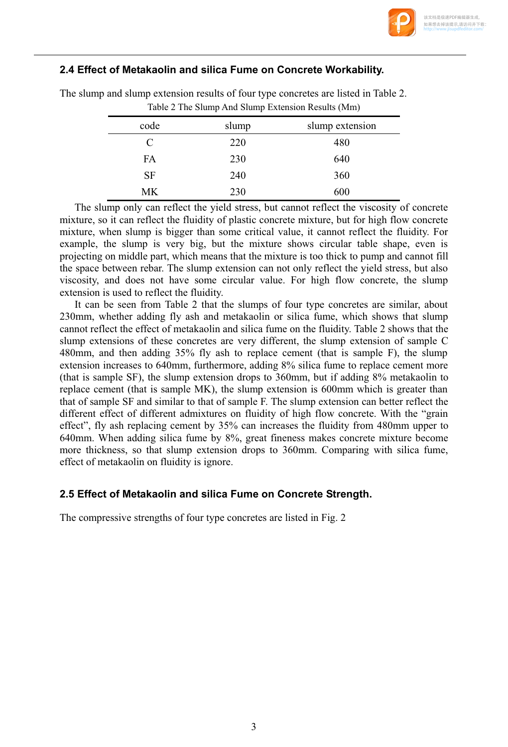

### **2.4 Effect of Metakaolin and silica Fume on Concrete Workability.**

| code      | slump | slump extension |
|-----------|-------|-----------------|
| C         | 220   | 480             |
| FA        | 230   | 640             |
| <b>SF</b> | 240   | 360             |
| МK        | 230   | 600             |

The slump and slump extension results of four type concretes are listed in Table 2. Table 2 The Slump And Slump Extension Results (Mm)

The slump only can reflect the yield stress, but cannot reflect the viscosity of concrete mixture, so it can reflect the fluidity of plastic concrete mixture, but for high flow concrete mixture, when slump is bigger than some critical value, it cannot reflect the fluidity. For example, the slump is very big, but the mixture shows circular table shape, even is projecting on middle part, which means that the mixture is too thick to pump and cannot fill the space between rebar. The slump extension can not only reflect the yield stress, but also viscosity, and does not have some circular value. For high flow concrete, the slump extension is used to reflect the fluidity.

It can be seen from Table 2 that the slumps of four type concretes are similar, about 230mm, whether adding fly ash and metakaolin or silica fume, which shows that slump cannot reflect the effect of metakaolin and silica fume on the fluidity. Table 2 shows that the slump extensions of these concretes are very different, the slump extension of sample C 480mm, and then adding 35% fly ash to replace cement (that is sample F), the slump extension increases to 640mm, furthermore, adding 8% silica fume to replace cement more (that is sample SF), the slump extension drops to 360mm, but if adding 8% metakaolin to replace cement (that is sample MK), the slump extension is 600mm which is greater than that of sample SF and similar to that of sample F. The slump extension can better reflect the different effect of different admixtures on fluidity of high flow concrete. With the "grain effect", fly ash replacing cement by 35% can increases the fluidity from 480mm upper to 640mm. When adding silica fume by 8%, great fineness makes concrete mixture become more thickness, so that slump extension drops to 360mm. Comparing with silica fume, effect of metakaolin on fluidity is ignore.

#### **2.5 Effect of Metakaolin and silica Fume on Concrete Strength.**

The compressive strengths of four type concretes are listed in Fig. 2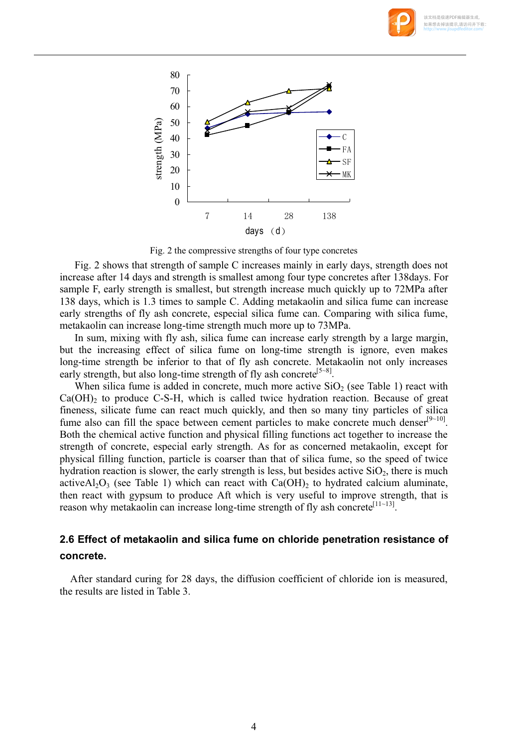



Fig. 2 the compressive strengths of four type concretes

Fig. 2 shows that strength of sample C increases mainly in early days, strength does not increase after 14 days and strength is smallest among four type concretes after 138days. For sample F, early strength is smallest, but strength increase much quickly up to 72MPa after 138 days, which is 1.3 times to sample C. Adding metakaolin and silica fume can increase early strengths of fly ash concrete, especial silica fume can. Comparing with silica fume, metakaolin can increase long-time strength much more up to 73MPa.

In sum, mixing with fly ash, silica fume can increase early strength by a large margin, but the increasing effect of silica fume on long-time strength is ignore, even makes long-time strength be inferior to that of fly ash concrete. Metakaolin not only increases early strength, but also long-time strength of fly ash concrete<sup>[5~8]</sup>.

When silica fume is added in concrete, much more active  $SiO<sub>2</sub>$  (see Table 1) react with  $Ca(OH)$ <sub>2</sub> to produce C-S-H, which is called twice hydration reaction. Because of great fineness, silicate fume can react much quickly, and then so many tiny particles of silica fume also can fill the space between cement particles to make concrete much denser $[9-10]$ . Both the chemical active function and physical filling functions act together to increase the strength of concrete, especial early strength. As for as concerned metakaolin, except for physical filling function, particle is coarser than that of silica fume, so the speed of twice hydration reaction is slower, the early strength is less, but besides active  $SiO<sub>2</sub>$ , there is much active $A_1O_3$  (see Table 1) which can react with Ca(OH)<sub>2</sub> to hydrated calcium aluminate, then react with gypsum to produce Aft which is very useful to improve strength, that is reason why metakaolin can increase long-time strength of fly ash concrete<sup>[11~13]</sup>.

## **2.6 Effect of metakaolin and silica fume on chloride penetration resistance of concrete.**

After standard curing for 28 days, the diffusion coefficient of chloride ion is measured, the results are listed in Table 3.